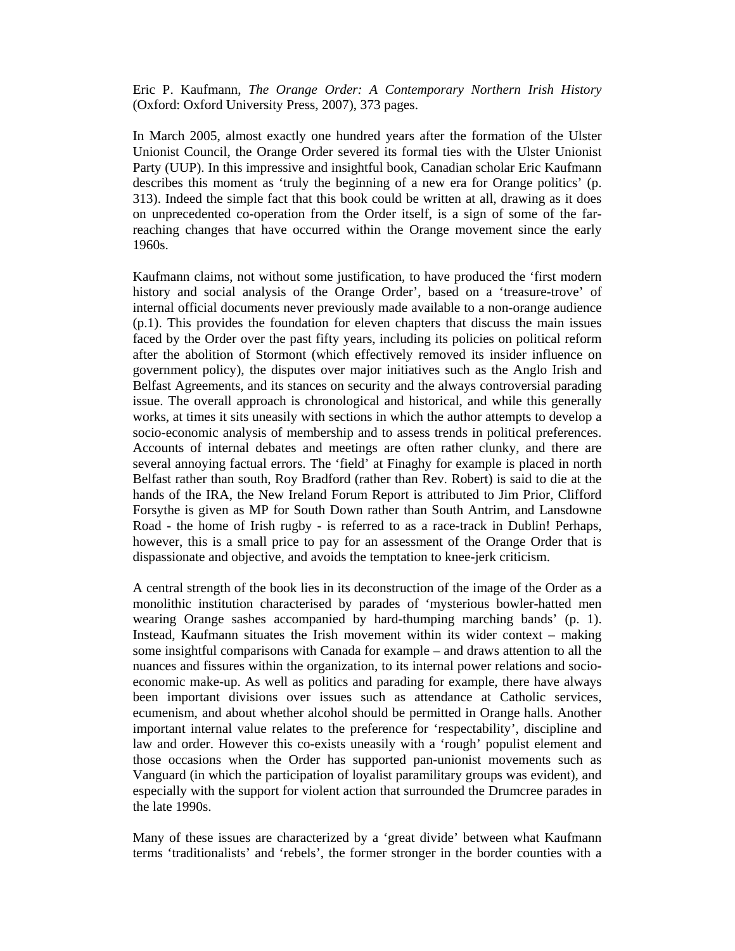Eric P. Kaufmann, *The Orange Order: A Contemporary Northern Irish History*  (Oxford: Oxford University Press, 2007), 373 pages.

In March 2005, almost exactly one hundred years after the formation of the Ulster Unionist Council, the Orange Order severed its formal ties with the Ulster Unionist Party (UUP). In this impressive and insightful book, Canadian scholar Eric Kaufmann describes this moment as 'truly the beginning of a new era for Orange politics' (p. 313). Indeed the simple fact that this book could be written at all, drawing as it does on unprecedented co-operation from the Order itself, is a sign of some of the farreaching changes that have occurred within the Orange movement since the early 1960s.

Kaufmann claims, not without some justification, to have produced the 'first modern history and social analysis of the Orange Order', based on a 'treasure-trove' of internal official documents never previously made available to a non-orange audience (p.1). This provides the foundation for eleven chapters that discuss the main issues faced by the Order over the past fifty years, including its policies on political reform after the abolition of Stormont (which effectively removed its insider influence on government policy), the disputes over major initiatives such as the Anglo Irish and Belfast Agreements, and its stances on security and the always controversial parading issue. The overall approach is chronological and historical, and while this generally works, at times it sits uneasily with sections in which the author attempts to develop a socio-economic analysis of membership and to assess trends in political preferences. Accounts of internal debates and meetings are often rather clunky, and there are several annoying factual errors. The 'field' at Finaghy for example is placed in north Belfast rather than south, Roy Bradford (rather than Rev. Robert) is said to die at the hands of the IRA, the New Ireland Forum Report is attributed to Jim Prior, Clifford Forsythe is given as MP for South Down rather than South Antrim, and Lansdowne Road - the home of Irish rugby - is referred to as a race-track in Dublin! Perhaps, however, this is a small price to pay for an assessment of the Orange Order that is dispassionate and objective, and avoids the temptation to knee-jerk criticism.

A central strength of the book lies in its deconstruction of the image of the Order as a monolithic institution characterised by parades of 'mysterious bowler-hatted men wearing Orange sashes accompanied by hard-thumping marching bands' (p. 1). Instead, Kaufmann situates the Irish movement within its wider context – making some insightful comparisons with Canada for example – and draws attention to all the nuances and fissures within the organization, to its internal power relations and socioeconomic make-up. As well as politics and parading for example, there have always been important divisions over issues such as attendance at Catholic services, ecumenism, and about whether alcohol should be permitted in Orange halls. Another important internal value relates to the preference for 'respectability', discipline and law and order. However this co-exists uneasily with a 'rough' populist element and those occasions when the Order has supported pan-unionist movements such as Vanguard (in which the participation of loyalist paramilitary groups was evident), and especially with the support for violent action that surrounded the Drumcree parades in the late 1990s.

Many of these issues are characterized by a 'great divide' between what Kaufmann terms 'traditionalists' and 'rebels', the former stronger in the border counties with a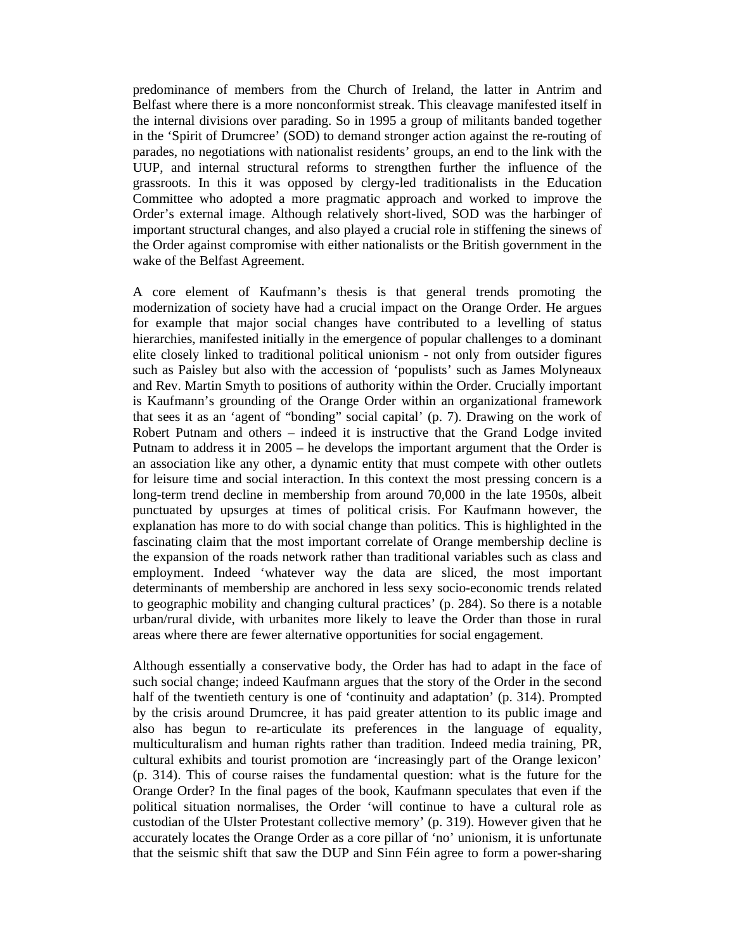predominance of members from the Church of Ireland, the latter in Antrim and Belfast where there is a more nonconformist streak. This cleavage manifested itself in the internal divisions over parading. So in 1995 a group of militants banded together in the 'Spirit of Drumcree' (SOD) to demand stronger action against the re-routing of parades, no negotiations with nationalist residents' groups, an end to the link with the UUP, and internal structural reforms to strengthen further the influence of the grassroots. In this it was opposed by clergy-led traditionalists in the Education Committee who adopted a more pragmatic approach and worked to improve the Order's external image. Although relatively short-lived, SOD was the harbinger of important structural changes, and also played a crucial role in stiffening the sinews of the Order against compromise with either nationalists or the British government in the wake of the Belfast Agreement.

A core element of Kaufmann's thesis is that general trends promoting the modernization of society have had a crucial impact on the Orange Order. He argues for example that major social changes have contributed to a levelling of status hierarchies, manifested initially in the emergence of popular challenges to a dominant elite closely linked to traditional political unionism - not only from outsider figures such as Paisley but also with the accession of 'populists' such as James Molyneaux and Rev. Martin Smyth to positions of authority within the Order. Crucially important is Kaufmann's grounding of the Orange Order within an organizational framework that sees it as an 'agent of "bonding" social capital' (p. 7). Drawing on the work of Robert Putnam and others – indeed it is instructive that the Grand Lodge invited Putnam to address it in 2005 – he develops the important argument that the Order is an association like any other, a dynamic entity that must compete with other outlets for leisure time and social interaction. In this context the most pressing concern is a long-term trend decline in membership from around 70,000 in the late 1950s, albeit punctuated by upsurges at times of political crisis. For Kaufmann however, the explanation has more to do with social change than politics. This is highlighted in the fascinating claim that the most important correlate of Orange membership decline is the expansion of the roads network rather than traditional variables such as class and employment. Indeed 'whatever way the data are sliced, the most important determinants of membership are anchored in less sexy socio-economic trends related to geographic mobility and changing cultural practices' (p. 284). So there is a notable urban/rural divide, with urbanites more likely to leave the Order than those in rural areas where there are fewer alternative opportunities for social engagement.

Although essentially a conservative body, the Order has had to adapt in the face of such social change; indeed Kaufmann argues that the story of the Order in the second half of the twentieth century is one of 'continuity and adaptation' (p. 314). Prompted by the crisis around Drumcree, it has paid greater attention to its public image and also has begun to re-articulate its preferences in the language of equality, multiculturalism and human rights rather than tradition. Indeed media training, PR, cultural exhibits and tourist promotion are 'increasingly part of the Orange lexicon' (p. 314). This of course raises the fundamental question: what is the future for the Orange Order? In the final pages of the book, Kaufmann speculates that even if the political situation normalises, the Order 'will continue to have a cultural role as custodian of the Ulster Protestant collective memory' (p. 319). However given that he accurately locates the Orange Order as a core pillar of 'no' unionism, it is unfortunate that the seismic shift that saw the DUP and Sinn Féin agree to form a power-sharing